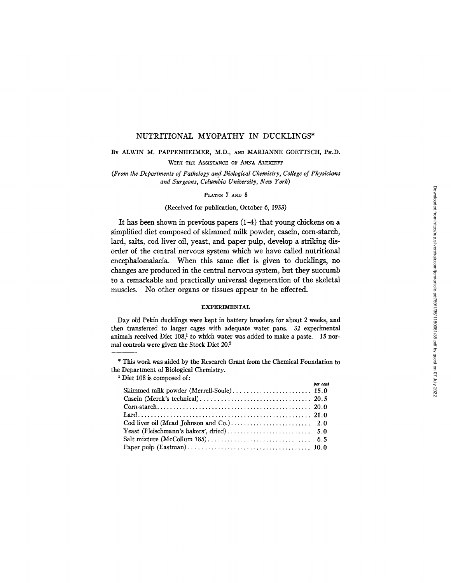### NUTRITIONAL MYOPATHY IN DUCKLINGS\*

# BY ALWIN M. PAPPENHEIMER, M.D., AND MARIANNE GOETTSCH, PH.D.

WITH THE ASSISTANCE OF ANNA ALEXIEFF

*(From the Departments of Pathology and Biological Chemistry, College of Physicians and Surgeons, Columbia University, New York)* 

### PLATES 7 AND 8

### (Received for publication, October 6, 1933)

It has been shown in previous papers (1-4) that young chickens on a simplified diet composed of skimmed milk powder, casein, corn-starch, lard, salts, cod liver oil, yeast, and paper pulp, develop a striking disorder of the central nervous system which we have called nutritional encephalomalacia. When this same diet is given to ducklings, no changes are produced in the central nervous system, but they succumb to a remarkable and practically universal degeneration of the skeletal muscles. No other organs or tissues appear to be affected.

### EXPERIMENTAL

Day old Pekin ducklings were kept in battery brooders for about 2 weeks, and then transferred to larger cages with adequate water pans. 32 experimental animals received Diet  $108<sup>1</sup>$  to which water was added to make a paste. 15 normal controls were given the Stock Diet 20.<sup>2</sup>

\* This work was aided by the Research Grant from the Chemical Foundation to the Department of Biological Chemistry.

*per cent* 

 $1$  Diet 108 is composed of: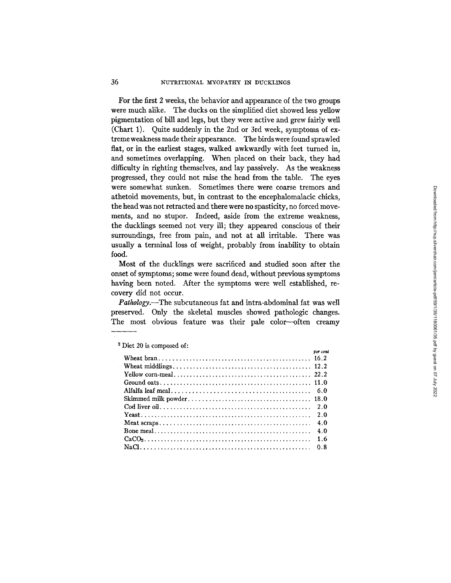For the first 2 weeks, the behavior and appearance of the two groups were much alike. The ducks on the simplified diet showed less yellow pigmentation of bill and legs, but they were active and grew fairly well (Chart 1). Quite suddenly in the 2nd or 3rd week, symptoms of extreme weakness made their appearance. The birds were found sprawled flat, or in the earliest stages, walked awkwardly with feet turned in, and sometimes overlapping. When placed on their back, they had difficulty in righting themselves, and lay passively. As the weakness progressed, they could not raise the head from the table. The eyes were somewhat sunken. Sometimes there were coarse tremors and athetoid movements, but, in contrast to the encephalomalacic chicks, the head was not retracted and there were no spasficity, no forced movements, and no stupor. Indeed, aside from the extreme weakness, the ducklings seemed not very ill; they appeared conscious of their surroundings, free from pain, and not at all irritable. There was usually a terminal loss of weight, probably from inability to obtain food.

Most of the ducklings were sacrificed and studied soon after the onset of symptoms; some were found dead, without previous symptoms having been noted. After the symptoms were well established, recovery did not occur.

*Pathology.--The* subcutaneous fat and intra-abdominal fat was well preserved. Only the skeletal muscles showed pathologic changes. The most obvious feature was their pale color-often creamy

|                                                                                                                                               | per cent |
|-----------------------------------------------------------------------------------------------------------------------------------------------|----------|
| Wheat bran, $\ldots$ , $\ldots$ , $\ldots$ , $\ldots$ , $\ldots$ , $\ldots$ , $\ldots$ , $\ldots$ , $\ldots$ , $\ldots$ , $\ldots$ , $\ldots$ |          |
|                                                                                                                                               |          |
|                                                                                                                                               |          |
|                                                                                                                                               |          |
|                                                                                                                                               |          |
|                                                                                                                                               |          |
|                                                                                                                                               |          |
|                                                                                                                                               | 2.0      |
|                                                                                                                                               | 4.0      |
|                                                                                                                                               | 4.0      |
|                                                                                                                                               |          |
|                                                                                                                                               |          |

### Diet 20 is composed of: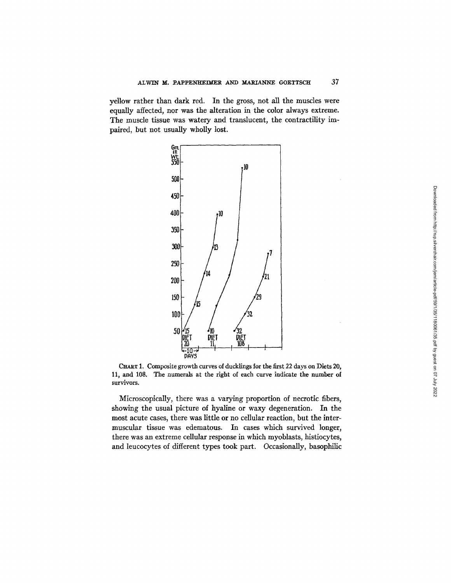yellow rather than dark red. In the gross, not all the muscles were equally affected, nor was the alteration in the color always extreme. The muscle tissue was watery and translucent, the contractility impaired, but not usually wholly lost.



CHART 1. Composite growth curves of ducklings for the first 22 days on Diets 20, 11, and 108. The numerals at the right of each curve indicate the number of survivors.

Microscopically, there was a varying proportion of necrotic fibers, showing the usual picture of hyaline or waxy degeneration. In the most acute cases, there was little or no cellular reaction, but the intermuscular tissue was edematous. In cases which survived longer, there was an extreme cellular response in which myoblasts, histiocytes, and leucocytes of different types took part. Occasionally, basophilic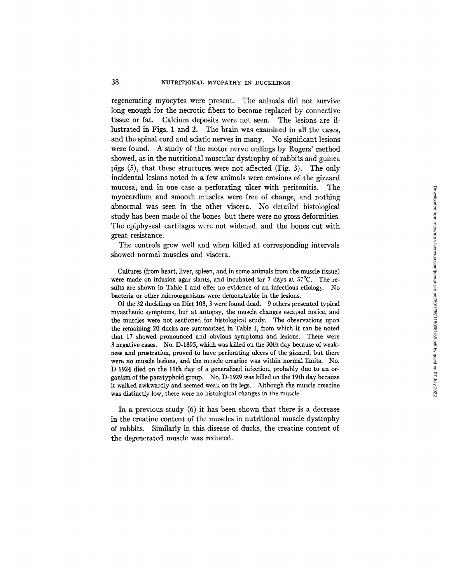regenerating myocytes were present. The animals did not survive long enough for the necrotic fibers to become replaced by connective tissue or fat. Calcium deposits were not seen. The lesions are illustrated in Figs. 1 and 2. The brain was examined in all the cases, and the spinal cord and sciatic nerves in many. No significant lesions were found. A study of the motor nerve endings by Rogers' method showed, as in the nutritional muscular dystrophy of rabbits and guinea pigs (5), that these structures were not affected (Fig. 3). The only incidental lesions noted in a few animals were erosions of the gizzard mucosa, and in one case a perforating ulcer with peritonitis. The myocardium and smooth muscles were free of change, and nothing abnormal was seen in the other viscera. No detailed histological study has been made of the bones but there were no gross deformities. The epiphyseal cartilages were not widened, and the bones cut with great resistance.

The controls grew well and when killed at corresponding intervals showed normal muscles and viscera.

Cultures (from heart, liver, spleen, and in some animals from the muscle tissue) were made on infusion agar slants, and incubated for 7 days at 37°C. The results are shown in Table I and offer no evidence of an infectious etiology. No bacteria or other microorganisms were demonstrable in the lesions.

Of the 32 ducklings on Diet 108, 3 were found dead. 9 others presented typical myasthenic symptoms, but at autopsy, the muscle changes escaped notice, and the muscles were not sectioned for histological study. The observations upon the remaining 20 ducks are summarized in Table I, from which it can be noted that 17 showed pronounced and obvious symptoms and lesions. There were 3 negative cases. No. D-1895, which was killed on the 30th day because of weakness and prostration, proved to have perforating ulcers of the gizzard, but there were no muscle lesions, and the muscle creatine was within normal limits. No. D-1924 died on the llth day of a generalized infection, probably due to an organism of the paratyphoid group. No. D-1929 was killed on the 19th day because it walked awkwardly and seemed weak on its legs. Although the muscle creatine was distinctly low, there were no histological changes in the muscle.

In a previous study (6) it has been shown that there is a decrease in the creatine content of the muscles in nutritional muscle dystrophy of rabbits. Similarly in this disease of ducks, the creatine content of the degenerated muscle was reduced.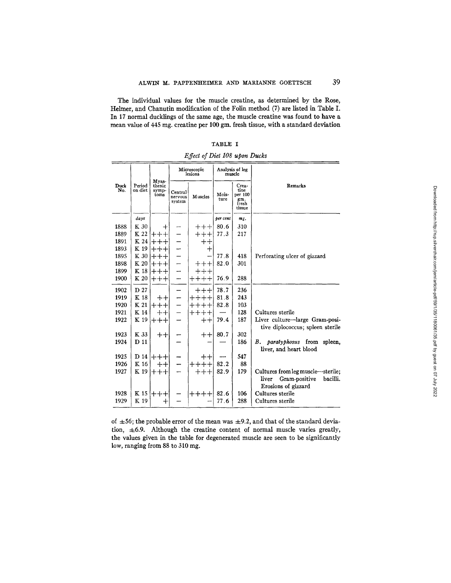The individual values for the muscle creatine, as determined by the Rose, Helmer, and Chanutin modification of the Folin method (7) are listed in Table I. In 17 normal ducklings of the same age, the muscle creatine was found to have a mean value of 445 mg. creatine per 100 gm. fresh tissue, with a standard deviation

|             | Period<br>on diet |                  | Microscopic<br>lesions           |                                | Analysis of leg<br>muscle |               |                                                                    |
|-------------|-------------------|------------------|----------------------------------|--------------------------------|---------------------------|---------------|--------------------------------------------------------------------|
| Duck<br>No. |                   |                  | Myas-<br>thenic<br>symp-<br>toms | Central<br>nervous<br>system   | Muscles                   | Mois-<br>ture | Crea-<br>tine<br>per 100<br>gm.<br>fresh<br>tissue                 |
|             | days              |                  |                                  |                                | per cent                  | mg.           |                                                                    |
| 1888        | K 30              | ┿                |                                  | $+++$                          | 80.6                      | 310           |                                                                    |
| 1889        | K 22              | ┿┿               |                                  | $++++$                         | 77.3                      | 217           |                                                                    |
| 1891        | K 24              | $\div$           |                                  | $++$                           |                           |               |                                                                    |
| 1893        | K 19              | $++$             |                                  | ┿                              |                           |               |                                                                    |
| 1895        | K 30              | $++++$           |                                  |                                | 77.8                      | 418           | Perforating ulcer of gizzard                                       |
| 1898        | K 20              | ┿                |                                  | $++++$                         | 82.0                      | 301           |                                                                    |
| 1899        | K 18              | $++++-$          |                                  | $++++$                         |                           |               |                                                                    |
| 1900        | K 20              | $++++$           |                                  | $+++++$                        | 76.9                      | 288           |                                                                    |
| 1902        | D 27              |                  |                                  | $++++$                         | 78.7                      | 236           |                                                                    |
| 1919        | K 18              | $++$             |                                  | $\bm{++}\bm{+}\bm{+}$          | 81.8                      | 243           |                                                                    |
| 1920        | K 21              | $^+$<br>$\, +$   |                                  | $++++$                         | 82.8                      | 103           |                                                                    |
| 1921        | K 14              | $^+$             |                                  | $++++-$                        |                           | 128           | Cultures sterile                                                   |
| 1922        | K 19              | $++++$           |                                  | $++$                           | 79.4                      | 187           | Liver culture-large Gram-posi-<br>tive diplococcus; spleen sterile |
| 1923        | K 33              | $^{\mathrm{++}}$ |                                  | $++$                           | 80.7                      | 302           |                                                                    |
| 1924        | D 11              |                  |                                  |                                |                           | 186           | paratyphosus from spleen,<br>B.<br>liver, and heart blood          |
| 1925        | D 14              | $++++$           |                                  | $\boldsymbol{+}\boldsymbol{+}$ |                           | 547           |                                                                    |
| 1926        | K 16              | $++$             |                                  | $++++$                         | 82.2                      | 88            |                                                                    |
| 1927        | K 19              | $++++$           |                                  | $++++$                         | 82.9                      | 179           | Cultures from leg muscle—sterile;                                  |
|             |                   |                  |                                  |                                |                           |               | Gram-positive<br>liver<br>bacilli.<br>Erosions of gizzard          |
| 1928        | K 15              | $++++$           |                                  | $\!+\!+\!+\!$                  | 82.6                      | 106           | Cultures sterile                                                   |
| 1929        | K 19              | $\,+\,$          |                                  |                                | 77.6                      | 288           | Cultures sterile                                                   |

**TABLE I**  *Effect of Diet 108 upon Ducks* 

of  $\pm 56$ ; the probable error of the mean was  $\pm 9.2$ , and that of the standard deviation,  $\pm 6.9$ . Although the creatine content of normal muscle varies greatly, the values given in the table for degenerated muscle are seen to be significantly low, ranging from 88 to 310 mg.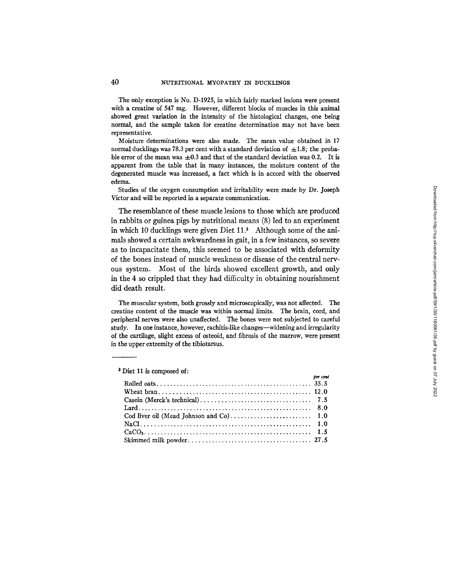The only exception is No. D-1925, in which fairly marked lesions were present with a creatine of 547 mg. However, different blocks of muscles in this animal showed great variation in the intensity of the histological changes, one being normal, and the sample taken for creatine determination may not have been representative.

Moisture determinations were also made. The mean value obtained in 17 normal ducklings was 78.3 per cent with a standard deviation of  $\pm 1.8$ ; the probable error of the mean was  $\pm 0.3$  and that of the standard deviation was 0.2. It is apparent from the table that in many instances, the moisture content of the degenerated muscle was increased, a fact which is in accord with the observed edema.

Studies of the oxygen consumption and irritability were made by Dr. Joseph Victor and will be reported in a separate communication.

The resemblance of these muscle lesions to those which are produced in rabbits or guinea pigs by nutritional means (8) led to an experiment in which 10 ducklings were given Diet 11.<sup>3</sup> Although some of the animals showed a certain awkwardness in gait, in a few instances, so severe as to incapacitate them, this seemed to be associated with deformity of the bones instead of muscle weakness or disease of the central nervous system. Most of the birds showed excellent growth, and only in the 4 so crippled that they had difficulty in obtaining nourishment did death result.

The muscular system, both grossly and microscopically, was not affected. The creatine content of the muscle was within normal limits. The brain, cord, and peripheral nerves were also unaffected. The bones were not subjected to careful study. In one instance, however, rachitis-like changes--widening and irregularity of the cartilage, slight excess of osteoid, and fibrosis of the marrow, were present in the upper extremity of the tibiotarsus.

| per cent |  |
|----------|--|
|          |  |
|          |  |
|          |  |
|          |  |
|          |  |
|          |  |
|          |  |
|          |  |

<sup>3</sup> Diet 11 is composed of: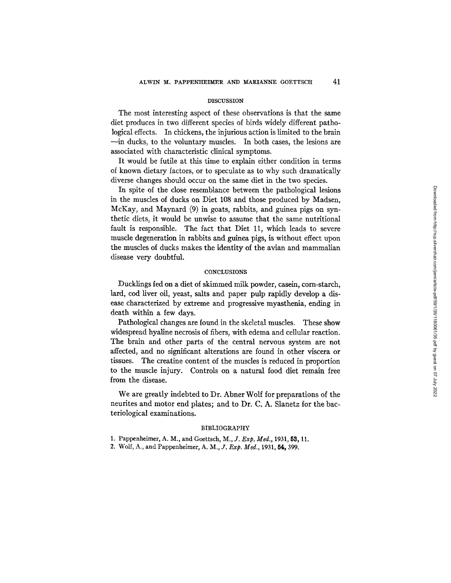#### DISCUSSION

The most interesting aspect of these observations is that the same diet produces in two different species of birds widely different pathological effects. In chickens, the injurious action is limited to the brain --in ducks, to the voluntary muscles. In both cases, the lesions are associated with characteristic clinical symptoms.

It would be futile at this time to explain either condition in terms of known dietary factors, or to speculate as to why such dramatically diverse changes should occur on the same diet in the two species.

In spite of the close resemblance between the pathological lesions in the muscles of ducks on Diet 108 and those produced by Madsen, McKay, and Maynard (9) in goats, rabbits, and guinea pigs on synthetic diets, it would be unwise to assume that the same nutritional fault is responsible. The fact that Diet 11, which leads to severe muscle degeneration in rabbits and guinea pigs, is without effect upon the muscles of ducks makes the identity of the avian and mammalian disease very doubtful.

### **CONCLUSIONS**

Ducklings fed on a diet of skimmed milk powder, casein, corn-starch, lard, cod liver oil, yeast, salts and paper pulp rapidly develop a disease characterized by extreme and progressive myasthenia, ending in death within a few days.

Pathological changes are found in the skeletal muscles. These show widespread hyaline necrosis of fibers, with edema and cellular reaction. The brain and other parts of the central nervous system are not affected, and no significant alterations are found in other viscera or tissues. The creatine content of the muscles is reduced in proportion to the muscle injury. Controls on a natural food diet remain free from the disease.

We are greatly indebted to Dr. Abner Wolf for preparations of the neurites and motor end plates; and to Dr. C. A. Slanetz for the bacteriological examinations.

### BIBLIOGRAPHY

1. Pappenheimer, A. M., and Goettsch, *M., J. Exp. Med.,* 1931, 53, 11.

2. Wolf, A., and Pappenheimer, A. M., *J. Exp. Med.*, 1931, 54, 399.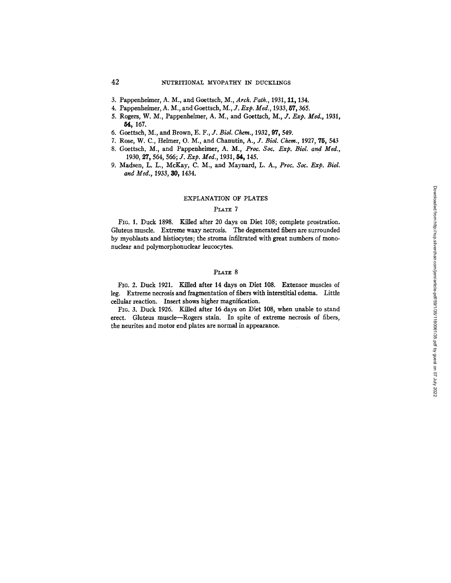- 3. Pappenheimer, A. M., and Goettsch, M., *Arch. Path.,* 1931, 11, 134.
- 4. Pappenhehner, A. M., and Goettsch, *M., J. Exp. Meg.,* 1933, 57, 365.
- 5. Rogers, W. M., Pappenheimer, A. M., and Goettsch, *M., Jr. Exp. Meg.,* 1931, 54, 167.
- 6. Goettsch, M., and Brown, *E. F., J. Biol. Chem.,* 1932, 97, 549.
- 7. Rose, W. C., Helmer, O. M., and Chanutin, A., *J. Biol. Chem.*, 1927, 75, 543
- 8. Goettsch, M., and Pappenheimer, *A. M., Proc. Soc. Exp. Biol. and Med.,*  1930, 27, 564, 566; *J. Exp. Med.*, 1931, 54, 145.
- 9. Madsen, L. L., McKay, C. M., and Maynard, L. A., *Proc. Soc. Exp. Biol. and Meg.,* 1933, 30, 1434.

#### EXPLANATION OF PLATES

### PLATE 7

FIG. 1. Duck 1898. Killed after 20 days on Diet 108; complete prostration. Gluteus muscle. Extreme waxy necrosis. The degenerated fibers are surrounded by myoblasts and histiocytes; the stroma infiltrated with great numbers of mononuclear and polymorphonuclear leucocytes.

## PLATE 8

FIc. 2. Duck 1921. Killed after 14 days on Diet 108. Extensor muscles of leg. Extreme necrosis and fragmentation of fibers with interstitial edema. Little cellular reaction. Insert shows higher magnification.

FIG. 3. Duck *1926.* Killed after 16 days on Diet 108, when unable to stand erect. Gluteus muscle--Rogers stain. In spite of extreme necrosis of fibers, the neurites and motor end plates are normal in appearance.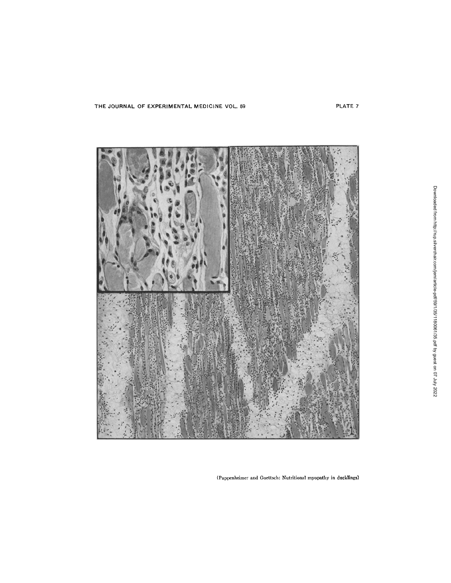THE JOURNAL OF EXPERIMENTAL MEDICINE VOL. 59 PLATE 7



(Pappenheimer and Goettsch: Nutritional myopathy in ducklings)